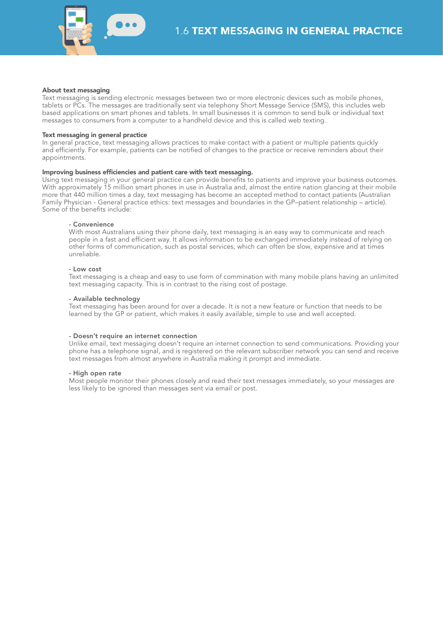

## About text messaging

Text messaging is sending electronic messages between two or more electronic devices such as mobile phones, tablets or PCs. The messages are traditionally sent via telephony Short Message Service (SMS), this includes web based applications on smart phones and tablets. In small businesses it is common to send bulk or individual text messages to consumers from a computer to a handheld device and this is called web texting.

## Text messaging in general practice

In general practice, text messaging allows practices to make contact with a patient or multiple patients quickly and efficiently. For example, patients can be notified of changes to the practice or receive reminders about their appointments.

## Improving business efficiencies and patient care with text messaging.

Using text messaging in your general practice can provide benefits to patients and improve your business outcomes. With approximately 15 million smart phones in use in Australia and, almost the entire nation glancing at their mobile more that 440 million times a day, text messaging has become an accepted method to contact patients (Australian Family Physician - General practice ethics: text messages and boundaries in the GP–patient relationship – article). Some of the benefits include:

# - Convenience

With most Australians using their phone daily, text messaging is an easy way to communicate and reach people in a fast and efficient way. It allows information to be exchanged immediately instead of relying on other forms of communication, such as postal services, which can often be slow, expensive and at times unreliable.

#### - Low cost

Text messaging is a cheap and easy to use form of commination with many mobile plans having an unlimited text messaging capacity. This is in contrast to the rising cost of postage.

## - Available technology

Text messaging has been around for over a decade. It is not a new feature or function that needs to be learned by the GP or patient, which makes it easily available, simple to use and well accepted.

### - Doesn't require an internet connection

Unlike email, text messaging doesn't require an internet connection to send communications. Providing your phone has a telephone signal, and is registered on the relevant subscriber network you can send and receive text messages from almost anywhere in Australia making it prompt and immediate.

### - High open rate

Most people monitor their phones closely and read their text messages immediately, so your messages are less likely to be ignored than messages sent via email or post.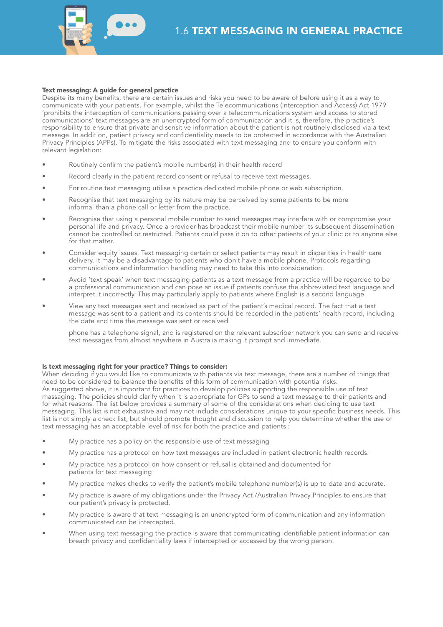

## Text messaging: A guide for general practice

Despite its many benefits, there are certain issues and risks you need to be aware of before using it as a way to communicate with your patients. For example, whilst the Telecommunications (Interception and Access) Act 1979 'prohibits the interception of communications passing over a telecommunications system and access to stored communications' text messages are an unencrypted form of communication and it is, therefore, the practice's responsibility to ensure that private and sensitive information about the patient is not routinely disclosed via a text message. In addition, patient privacy and confidentiality needs to be protected in accordance with the Australian Privacy Principles (APPs). To mitigate the risks associated with text messaging and to ensure you conform with relevant legislation:

- Routinely confirm the patient's mobile number(s) in their health record
- Record clearly in the patient record consent or refusal to receive text messages.
- For routine text messaging utilise a practice dedicated mobile phone or web subscription.
- Recognise that text messaging by its nature may be perceived by some patients to be more informal than a phone call or letter from the practice.
- Recognise that using a personal mobile number to send messages may interfere with or compromise your personal life and privacy. Once a provider has broadcast their mobile number its subsequent dissemination cannot be controlled or restricted. Patients could pass it on to other patients of your clinic or to anyone else for that matter.
- Consider equity issues. Text messaging certain or select patients may result in disparities in health care delivery. It may be a disadvantage to patients who don't have a mobile phone. Protocols regarding communications and information handling may need to take this into consideration.
- Avoid 'text speak' when text messaging patients as a text message from a practice will be regarded to be a professional communication and can pose an issue if patients confuse the abbreviated text language and interpret it incorrectly. This may particularly apply to patients where English is a second language.
- View any text messages sent and received as part of the patient's medical record. The fact that a text message was sent to a patient and its contents should be recorded in the patients' health record, including the date and time the message was sent or received.

phone has a telephone signal, and is registered on the relevant subscriber network you can send and receive text messages from almost anywhere in Australia making it prompt and immediate.

## Is text messaging right for your practice? Things to consider:

When deciding if you would like to communicate with patients via text message, there are a number of things that need to be considered to balance the benefits of this form of communication with potential risks. As suggested above, it is important for practices to develop policies supporting the responsible use of text massaging. The policies should clarify when it is appropriate for GPs to send a text message to their patients and for what reasons. The list below provides a summary of some of the considerations when deciding to use text messaging. This list is not exhaustive and may not include considerations unique to your specific business needs. This list is not simply a check list, but should promote thought and discussion to help you determine whether the use of text messaging has an acceptable level of risk for both the practice and patients.:

- My practice has a policy on the responsible use of text messaging
- My practice has a protocol on how text messages are included in patient electronic health records.
- My practice has a protocol on how consent or refusal is obtained and documented for patients for text messaging
- My practice makes checks to verify the patient's mobile telephone number(s) is up to date and accurate.
- My practice is aware of my obligations under the Privacy Act /Australian Privacy Principles to ensure that our patient's privacy is protected.
- My practice is aware that text messaging is an unencrypted form of communication and any information communicated can be intercepted.
- When using text messaging the practice is aware that communicating identifiable patient information can breach privacy and confidentiality laws if intercepted or accessed by the wrong person.